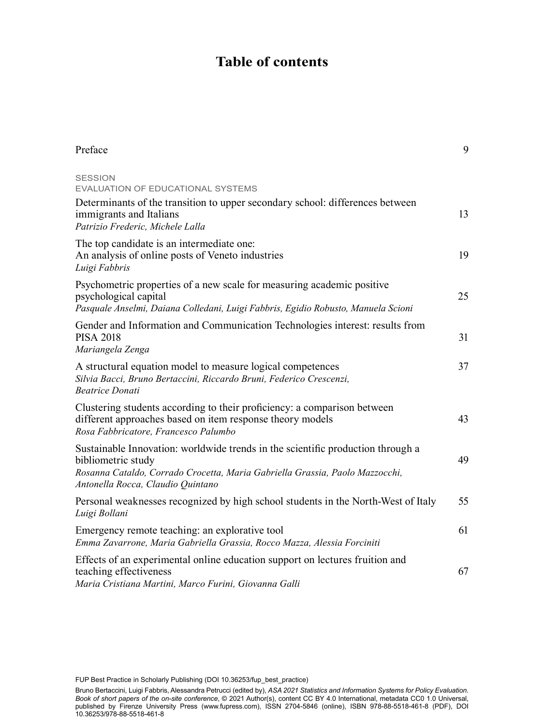## **Table of contents**

| Preface                                                                                                                                                                                                                    | 9  |
|----------------------------------------------------------------------------------------------------------------------------------------------------------------------------------------------------------------------------|----|
| <b>SESSION</b><br>EVALUATION OF EDUCATIONAL SYSTEMS                                                                                                                                                                        |    |
| Determinants of the transition to upper secondary school: differences between<br>immigrants and Italians<br>Patrizio Frederic, Michele Lalla                                                                               | 13 |
| The top candidate is an intermediate one:<br>An analysis of online posts of Veneto industries<br>Luigi Fabbris                                                                                                             | 19 |
| Psychometric properties of a new scale for measuring academic positive<br>psychological capital<br>Pasquale Anselmi, Daiana Colledani, Luigi Fabbris, Egidio Robusto, Manuela Scioni                                       | 25 |
| Gender and Information and Communication Technologies interest: results from<br><b>PISA 2018</b><br>Mariangela Zenga                                                                                                       | 31 |
| A structural equation model to measure logical competences<br>Silvia Bacci, Bruno Bertaccini, Riccardo Bruni, Federico Crescenzi,<br><b>Beatrice Donati</b>                                                                | 37 |
| Clustering students according to their proficiency: a comparison between<br>different approaches based on item response theory models<br>Rosa Fabbricatore, Francesco Palumbo                                              | 43 |
| Sustainable Innovation: worldwide trends in the scientific production through a<br>bibliometric study<br>Rosanna Cataldo, Corrado Crocetta, Maria Gabriella Grassia, Paolo Mazzocchi,<br>Antonella Rocca, Claudio Quintano | 49 |
| Personal weaknesses recognized by high school students in the North-West of Italy<br>Luigi Bollani                                                                                                                         | 55 |
| Emergency remote teaching: an explorative tool<br>Emma Zavarrone, Maria Gabriella Grassia, Rocco Mazza, Alessia Forciniti                                                                                                  | 61 |
| Effects of an experimental online education support on lectures fruition and<br>teaching effectiveness<br>Maria Cristiana Martini, Marco Furini, Giovanna Galli                                                            | 67 |

FUP Best Practice in Scholarly Publishing (DOI [10.36253/fup\\_best\\_practice](https://doi.org/10.36253/fup_best_practice))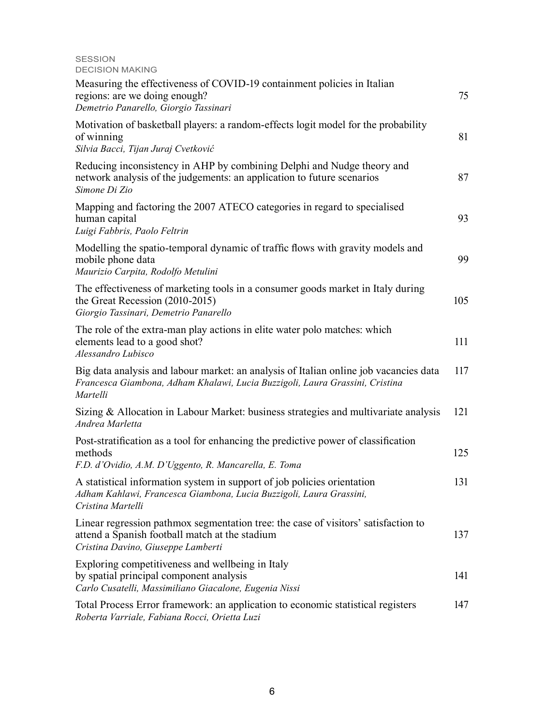## SESSION DECISION MAKING

| Measuring the effectiveness of COVID-19 containment policies in Italian<br>regions: are we doing enough?<br>Demetrio Panarello, Giorgio Tassinari                                 | 75  |
|-----------------------------------------------------------------------------------------------------------------------------------------------------------------------------------|-----|
| Motivation of basketball players: a random-effects logit model for the probability<br>of winning<br>Silvia Bacci, Tijan Juraj Cvetković                                           | 81  |
| Reducing inconsistency in AHP by combining Delphi and Nudge theory and<br>network analysis of the judgements: an application to future scenarios<br>Simone Di Zio                 | 87  |
| Mapping and factoring the 2007 ATECO categories in regard to specialised<br>human capital<br>Luigi Fabbris, Paolo Feltrin                                                         | 93  |
| Modelling the spatio-temporal dynamic of traffic flows with gravity models and<br>mobile phone data<br>Maurizio Carpita, Rodolfo Metulini                                         | 99  |
| The effectiveness of marketing tools in a consumer goods market in Italy during<br>the Great Recession (2010-2015)<br>Giorgio Tassinari, Demetrio Panarello                       | 105 |
| The role of the extra-man play actions in elite water polo matches: which<br>elements lead to a good shot?<br>Alessandro Lubisco                                                  | 111 |
| Big data analysis and labour market: an analysis of Italian online job vacancies data<br>Francesca Giambona, Adham Khalawi, Lucia Buzzigoli, Laura Grassini, Cristina<br>Martelli | 117 |
| Sizing & Allocation in Labour Market: business strategies and multivariate analysis<br>Andrea Marletta                                                                            | 121 |
| Post-stratification as a tool for enhancing the predictive power of classification<br>methods<br>F.D. d'Ovidio, A.M. D'Uggento, R. Mancarella, E. Toma                            | 125 |
| A statistical information system in support of job policies orientation<br>Adham Kahlawi, Francesca Giambona, Lucia Buzzigoli, Laura Grassini,<br>Cristina Martelli               | 131 |
| Linear regression pathmox segmentation tree: the case of visitors' satisfaction to<br>attend a Spanish football match at the stadium<br>Cristina Davino, Giuseppe Lamberti        | 137 |
| Exploring competitiveness and wellbeing in Italy<br>by spatial principal component analysis<br>Carlo Cusatelli, Massimiliano Giacalone, Eugenia Nissi                             | 141 |
| Total Process Error framework: an application to economic statistical registers<br>Roberta Varriale, Fabiana Rocci, Orietta Luzi                                                  | 147 |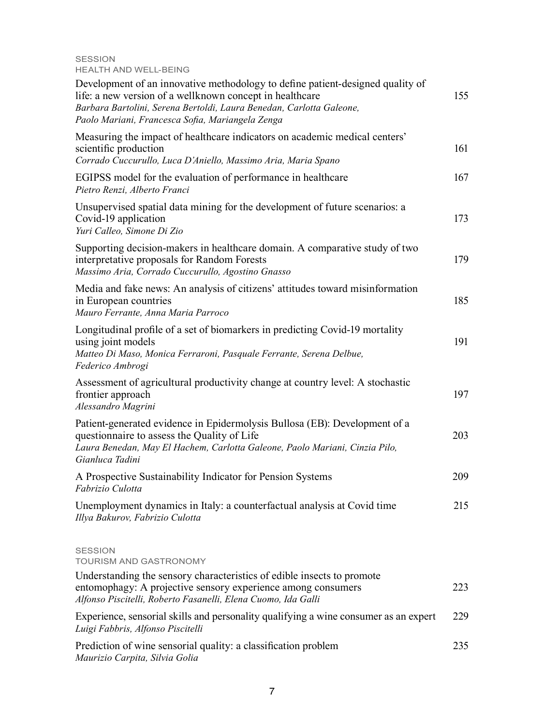SESSION HEALTH AND WELL-BEING

| Development of an innovative methodology to define patient-designed quality of<br>life: a new version of a wellknown concept in healthcare<br>Barbara Bartolini, Serena Bertoldi, Laura Benedan, Carlotta Galeone,<br>Paolo Mariani, Francesca Sofia, Mariangela Zenga | 155 |
|------------------------------------------------------------------------------------------------------------------------------------------------------------------------------------------------------------------------------------------------------------------------|-----|
| Measuring the impact of healthcare indicators on academic medical centers'<br>scientific production<br>Corrado Cuccurullo, Luca D'Aniello, Massimo Aria, Maria Spano                                                                                                   | 161 |
| EGIPSS model for the evaluation of performance in healthcare<br>Pietro Renzi, Alberto Franci                                                                                                                                                                           | 167 |
| Unsupervised spatial data mining for the development of future scenarios: a<br>Covid-19 application<br>Yuri Calleo, Simone Di Zio                                                                                                                                      | 173 |
| Supporting decision-makers in healthcare domain. A comparative study of two<br>interpretative proposals for Random Forests<br>Massimo Aria, Corrado Cuccurullo, Agostino Gnasso                                                                                        | 179 |
| Media and fake news: An analysis of citizens' attitudes toward misinformation<br>in European countries<br>Mauro Ferrante, Anna Maria Parroco                                                                                                                           | 185 |
| Longitudinal profile of a set of biomarkers in predicting Covid-19 mortality<br>using joint models<br>Matteo Di Maso, Monica Ferraroni, Pasquale Ferrante, Serena Delbue,<br>Federico Ambrogi                                                                          | 191 |
| Assessment of agricultural productivity change at country level: A stochastic<br>frontier approach<br>Alessandro Magrini                                                                                                                                               | 197 |
| Patient-generated evidence in Epidermolysis Bullosa (EB): Development of a<br>questionnaire to assess the Quality of Life<br>Laura Benedan, May El Hachem, Carlotta Galeone, Paolo Mariani, Cinzia Pilo,<br>Gianluca Tadini                                            | 203 |
| A Prospective Sustainability Indicator for Pension Systems<br>Fabrizio Culotta                                                                                                                                                                                         | 209 |
| Unemployment dynamics in Italy: a counterfactual analysis at Covid time<br>Illya Bakurov, Fabrizio Culotta                                                                                                                                                             | 215 |
| <b>SESSION</b><br><b>TOURISM AND GASTRONOMY</b><br>Understanding the sensory characteristics of edible insects to promote                                                                                                                                              |     |
| entomophagy: A projective sensory experience among consumers<br>Alfonso Piscitelli, Roberto Fasanelli, Elena Cuomo, Ida Galli                                                                                                                                          | 223 |
| Experience, sensorial skills and personality qualifying a wine consumer as an expert<br>Luigi Fabbris, Alfonso Piscitelli                                                                                                                                              | 229 |
| Prediction of wine sensorial quality: a classification problem<br>Maurizio Carpita, Silvia Golia                                                                                                                                                                       | 235 |